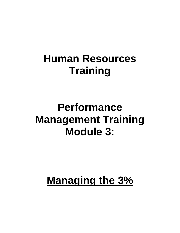## **Human Resources Training**

## **Performance Management Training Module 3:**

# **Managing the 3%**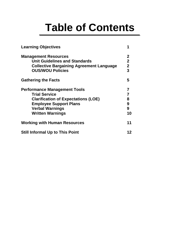# **Table of Contents**

| <b>Learning Objectives</b>                                                                                                                                                                      |                                                                 |  |
|-------------------------------------------------------------------------------------------------------------------------------------------------------------------------------------------------|-----------------------------------------------------------------|--|
| <b>Management Resources</b><br><b>Unit Guidelines and Standards</b><br><b>Collective Bargaining Agreement Language</b><br><b>OUS/WOU Policies</b>                                               | $\mathbf 2$<br>$\overline{2}$<br>$\mathbf{2}$<br>$\overline{3}$ |  |
| <b>Gathering the Facts</b>                                                                                                                                                                      | 5                                                               |  |
| <b>Performance Management Tools</b><br><b>Trial Service</b><br><b>Clarification of Expectations (LOE)</b><br><b>Employee Support Plans</b><br><b>Verbal Warnings</b><br><b>Written Warnings</b> | 7<br>7<br>8<br>$\boldsymbol{9}$<br>9<br>10                      |  |
| <b>Working with Human Resources</b>                                                                                                                                                             | 11                                                              |  |
| <b>Still Informal Up to This Point</b>                                                                                                                                                          | 12                                                              |  |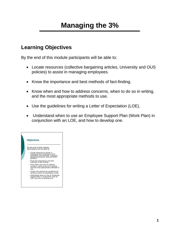## **Managing the 3%**

## **Learning Objectives**

By the end of this module participants will be able to:

- Locate resources (collective bargaining articles, University and OUS policies) to assist in managing employees.
- Know the importance and best methods of fact-finding.
- Know when and how to address concerns, when to do so in writing, and the most appropriate methods to use.
- Use the guidelines for writing a Letter of Expectation (LOE).
- Understand when to use an Employee Support Plan (Work Plan) in conjunction with an LOE, and how to develop one.

| <b>Objectives</b>                                                                                                                                                                                                                                                                                                                                                                                                                                                                                                                         |
|-------------------------------------------------------------------------------------------------------------------------------------------------------------------------------------------------------------------------------------------------------------------------------------------------------------------------------------------------------------------------------------------------------------------------------------------------------------------------------------------------------------------------------------------|
| By the end of this module<br>párticipants will be able to:<br>Locate resources to assist in<br>managing their employees (Unit<br>Guidelines and Protocols, Collective<br>Bargaining Articles, OUS and WOU<br>policies).<br>• Know the importance and best<br>methods of fact-finding.<br>• Know when and how to address<br>concerns, when to do so in writing,<br>and the most appropriate methods to<br>use.<br>Locate and utilized the guidelines for<br>writing a Letter of Expectation (LOE).<br>• Understand when to use an Employee |
| Support Plan in conjunction with an<br>LOE, and how to develop one.                                                                                                                                                                                                                                                                                                                                                                                                                                                                       |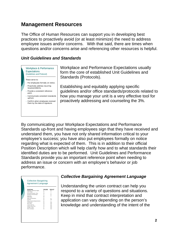## **Management Resources**

The Office of Human Resources can support you in developing best practices to proactively avoid (or at least minimize) the need to address employee issues and/or concerns. With that said, there are times when questions and/or concerns arise and referencing other resources is helpful.

#### *Unit Guidelines and Standards*



Workplace and Performance Expectations usually form the core of established Unit Guidelines and Standards (Protocols).

Establishing and equitably applying specific guidelines and/or office standards/protocols related to how you manage your unit is a very effective tool for proactively addressing and counseling the 3%.

By communicating your Workplace Expectations and Performance Standards up-front and having employees sign that they have received and understand them, you have not only shared information critical to your employee's success; you have also put employees formally on notice regarding what is expected of them. This is in addition to their official Position Description which will help clarify how and to what standards their identified duties are to be performed. Unit Guidelines and Performance Standards provide you an important reference point when needing to address an issue or concern with an employee's behavior or job performance.

| Article Name                                 | OUS-SEIU<br>۰   | WOU-AFT<br>12 |
|----------------------------------------------|-----------------|---------------|
| Employer / University Rights<br>Union Rights | 10              | ă             |
| Personnel Records / Files                    | 16              | ä             |
| Discipline and Discharge                     | 17              | 10            |
| Grievance                                    | 18              | 13            |
| <b>Differentials</b>                         | 20 <sub>1</sub> |               |
| Salary Administration                        | $^{22}$         | 16            |
| Overtime                                     | 26              | N/A           |
| Filing Vacancies/Appointments                | 32              | R.            |
| <b>Trial Service</b>                         | 34              | N/A           |
| Sick Leave                                   | 40              | N/A           |
| Leaves with Pav                              | 43              | N/A           |
| Leaves without Pav                           | 44              | N/A           |
| Vacation Leave                               | 47              | N/A           |
| Work Schedules                               | 66.             | N/A           |

#### *Collective Bargaining Agreement Language*

Understanding the union contract can help you respond to a variety of questions and situations. Keep in mind that contract interpretation and application can vary depending on the person's knowledge and understanding of the intent of the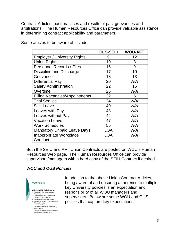Contract Articles, past practices and results of past grievances and arbitrations. The Human Resources Office can provide valuable assistance in determining contract applicability and parameters.

|                                       | <b>OUS-SEIU</b> | <b>WOU-AFT</b> |
|---------------------------------------|-----------------|----------------|
| <b>Employer / University Rights</b>   | 9               | 12             |
| <b>Union Rights</b>                   | 10              | 3              |
| <b>Personnel Records / Files</b>      | 16              | 9              |
| Discipline and Discharge              | 17              | 10             |
| Grievance                             | 18              | 13             |
| <b>Differential Pay</b>               | 20              | N/A            |
| <b>Salary Administration</b>          | 22              | 16             |
| Overtime                              | 25              | N/A            |
| <b>Filling Vacancies/Appointments</b> | 32              | 6              |
| <b>Trial Service</b>                  | 34              | N/A            |
| <b>Sick Leave</b>                     | 40              | N/A            |
| Leaves with Pay                       | 43              | N/A            |
| Leaves without Pay                    | 44              | N/A            |
| <b>Vacation Leave</b>                 | 47              | N/A            |
| <b>Work Schedules</b>                 | 55              | N/A            |
| <b>Mandatory Unpaid Leave Days</b>    | <b>LOA</b>      | N/A            |
| <b>Inappropriate Workplace</b>        | LOA             | N/A            |
| Conduct                               |                 |                |

Some articles to be aware of include:

Both the SEIU and AFT Union Contracts are posted on WOU's Human Resources Web page. The Human Resources Office can provide supervisors/managers with a hard copy of the SEIU Contract if desired.

### *WOU and OUS Policies*



In addition to the above Union Contract Articles, being aware of and ensuring adherence to multiple key University policies is an expectation and responsibility of all WOU managers and supervisors. Below are some WOU and OUS policies that capture key expectations.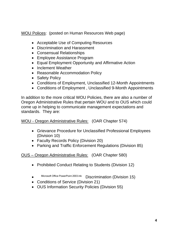WOU Polices: (posted on Human Resources Web page)

- Acceptable Use of Computing Resources
- Discrimination and Harassment
- Consensual Relationships
- Employee Assistance Program
- Equal Employment Opportunity and Affirmative Action
- Inclement Weather
- Reasonable Accommodation Policy
- Safety Policy
- Conditions of Employment, Unclassified 12-Month Appointments
- Conditions of Employment , Unclassified 9-Month Appointments

In addition to the more critical WOU Policies, there are also a number of Oregon Administrative Rules that pertain WOU and to OUS which could come up in helping to communicate management expectations and standards. They are:

WOU - Oregon Administrative Rules: (OAR Chapter 574)

- Grievance Procedure for Unclassified Professional Employees (Division 10)
- Faculty Records Policy (Division 20)
- Parking and Traffic Enforcement Regulations (Division 85)

OUS – Oregon Administrative Rules: (OAR Chapter 580)

- Prohibited Conduct Relating to Students (Division 12)
- Microsoft Office PowerPoint 2003.Ink Discrimination (Division 15)
- Conditions of Service (Division 21)
- OUS Information Security Policies (Division 55)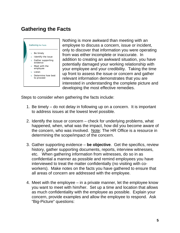## **Gathering the Facts**



Nothing is more awkward than meeting with an employee to discuss a concern, issue or incident, only to discover that information you were operating from was either incomplete or inaccurate. In addition to creating an awkward situation, you have potentially damaged your working relationship with your employee and your credibility. Taking the time up front to assess the issue or concern and gather relevant information demonstrates that you are interested in understanding the complete picture and developing the most effective remedies.

Steps to consider when gathering the facts include:

- 1. Be timely do not delay in following up on a concern. It is important to address issues at the lowest level possible.
- 2. Identify the issue or concern check for underlying problems, what happened, when, what was the impact, how did you become aware of the concern, who was involved. Note: The HR Office is a resource in determining the scope/impact of the concern.
- 3. Gather supporting evidence **be objective**. Get the specifics, review history, gather supporting documents, reports, interview witnesses, etc. When gathering information from witnesses, do so in as confidential a manner as possible and remind employees you have interviewed to treat the matter confidentially (no visiting with coworkers). Make notes on the facts you have gathered to ensure that all areas of concern are addressed with the employee.
- 4. Meet with the employee in a private manner, let the employee know you want to meet with him/her. Set up a time and location that allows as much confidentiality with the employee as possible. Explain your concern, provide examples and allow the employee to respond. Ask "Big-Picture" questions: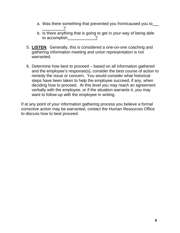- a. Was there something that prevented you from/caused you to ?
- b. Is there anything that is going to get in your way of being able to accomplish ?
- 5. **LISTEN**. Generally, this is considered a one-on-one coaching and gathering information meeting and union representation is not warranted.
- 6. Determine how best to proceed based on all information gathered and the employee's response(s), consider the best course of action to remedy the issue or concern. You would consider what historical steps have been taken to help the employee succeed, if any, when deciding how to proceed. At this level you may reach an agreement verbally with the employee, or if the situation warrants it, you may want to follow-up with the employee in writing.

If at any point of your information gathering process you believe a formal corrective action may be warranted, contact the Human Resources Office to discuss how to best proceed.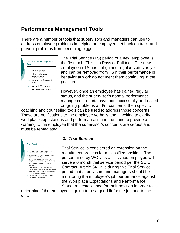## **Performance Management Tools**

There are a number of tools that supervisors and managers can use to address employee problems in helping an employee get back on track and prevent problems from becoming bigger.



The Trial Service (TS) period of a new employee is the first tool. This is a Pass or Fail tool. The new employee in TS has not gained regular status as yet and can be removed from TS if their performance or behavior at work do not merit them continuing in the position.

However, once an employee has gained regular status, and the supervisor's normal performance management efforts have not successfully addressed on-going problems and/or concerns, then specific

coaching and counseling tools can be used to address those concerns. These are notifications to the employee verbally and in writing to clarify workplace expectations and performance standards, and to provide a warning to the employee that the supervisor's concerns are serous and must be remediated.



#### *1. Trial Service*

Trial Service is considered an extension on the recruitment process for a classified position. The person hired by WOU as a classified employee will serve a 6 month trial service period per the SEIU Contract, Article 34. It is during this Trial Service period that supervisors and managers should be monitoring the employee's job performance against the Workplace Expectations and Performance Standards established for their position in order to

determine if the employee is going to be a good fit for the job and to the unit.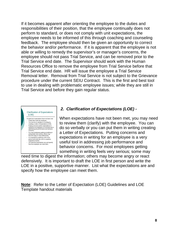If it becomes apparent after orienting the employee to the duties and responsibilities of their position, that the employee continually does not perform to standard, or does not comply with unit expectations, the employee needs to be informed of this through coaching and counseling feedback. The employee should then be given an opportunity to correct the behavior and/or performance. If it is apparent that the employee is not able or willing to remedy the supervisor's or manager's concerns, the employee should not pass Trial Service, and can be removed prior to the Trial Service end date. The Supervisor should work with the Human Resources Office to remove the employee from Trial Service before that Trial Service end date. HR will issue the employee a Trial Service Removal letter. Removal from Trial Service is not subject to the Grievance procedure under the current SEIU Contract. This is the first and best tool to use in dealing with problematic employee issues; while they are still in Trial Service and before they gain regular status.



### *2. Clarification of Expectations (LOE) -*

When expectations have not been met, you may need to review them (clarify) with the employee. You can do so verbally or you can put them in writing creating a Letter of Expectations. Putting concerns and expectations in writing for an employee is a very useful tool in addressing job performance and behavior concerns. For most employees getting something in writing feels very serious; some may

need time to digest the information; others may become angry or react defensively. It is important to draft the LOE in first person and write the LOE in a positive, supportive manner. List what the expectations are and specify how the employee can meet them.

**Note**: Refer to the Letter of Expectation (LOE) Guidelines and LOE Template handout materials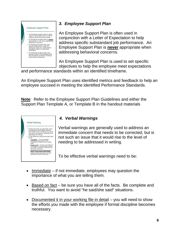

### *3. Employee Support Plan*

An Employee Support Plan is often used in conjunction with a Letter of Expectation to help address specific substandard job performance. An Employee Support Plan is **never** appropriate when addressing behavioral concerns.

An Employee Support Plan is used to set specific objectives to help the employee meet expectations

and performance standards within an identified timeframe.

An Employee Support Plan uses identified metrics and feedback to help an employee succeed in meeting the identified Performance Standards.

**Note**: Refer to the Employee Support Plan Guidelines and either the Support Plan Template A, or Template B in the handout materials



### *4. Verbal Warnings*

Verbal warnings are generally used to address an immediate concern that needs to be corrected, but is not such an issue that it would rise to the level of needing to be addressed in writing.

To be effective verbal warnings need to be:

- $\bullet$  Immediate if not immediate, employees may question the importance of what you are telling them.
- $\bullet$  Based on fact be sure you have all of the facts. Be complete and truthful. You want to avoid "he said/she said" situations.
- Documented it in your working file in detail you will need to show the efforts you made with the employee if formal discipline becomes necessary.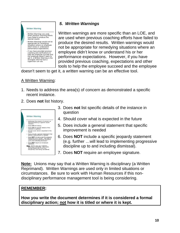

### *5. Written Warnings*

Written warnings are more specific than an LOE, and are used when previous coaching efforts have failed to produce the desired results. Written warnings would not be appropriate for remedying situations where an employee didn't know or understand his or her performance expectations. However, if you have provided previous coaching, expectations and other tools to help the employee succeed and the employee

doesn't seem to get it, a written warning can be an effective tool.

#### A Written Warning:

- 1. Needs to address the area(s) of concern as demonstrated a specific recent instance.
- 2. Does **not** list history.



- 3. Does **not** list specific details of the instance in question
- 4. Should cover what is expected in the future
- 5. Does include a general statement that specific improvement is needed
- 6. Does **NOT** include a specific jeopardy statement (e.g. further …will lead to implementing progressive discipline up to and including dismissal).
- 7. Does **NOT** require an employee signature.

**Note:** Unions may say that a Written Warning is disciplinary (a Written Reprimand). Written Warnings are used only in limited situations or circumstances. Be sure to work with Human Resources if this nondisciplinary performance management tool is being considering.

#### **REMEMBER:**

**How you write the document determines if it is considered a formal disciplinary action; not how it is titled or where it is kept.**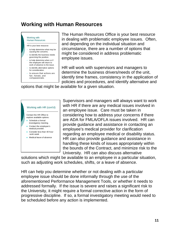### **Working with Human Resources**

#### Working with Human Resources

HR is your best resource:

- to help determine what may be causing the concerns.
- to identify the business needs governing the position.
- to help determine when or if the employee will return to work of absence is the issue.
- to identify alternative options for consideration.
- to ensure that actions are fair, honest, and compassionate.

The Human Resources Office is your best resource in dealing with problematic employee issues. Often, and depending on the individual situation and circumstance, there are a number of options that might be considered in address problematic employee issues.

HR will work with supervisors and managers to determine the business drivers/needs of the unit, identify time frames, consistency in the application of policies and procedures, and identify alternative and

options that might be available for a given situation.



Supervisors and managers will always want to work with HR if there are any medical issues involved in an employee issue. Care must be taken in considering how to address your concerns if there are ADA for FMLA/OFLA issues involved. HR can provide guidance and assistance in contacting an employee's medical provider for clarification regarding an employee medical or disability status. HR can also provide guidance and assistance in handling these kinds of issues appropriately within the bounds of the Contract, and minimize risk to the University. HR can also discuss alternative

solutions which might be available to an employee in a particular situation, such as adjusting work schedules, shifts, or a leave of absence.

HR can help you determine whether or not dealing with a particular employee issue should be done informally through the use of the aforementioned Performance Management Tools, or whether it needs to addressed formally. If the issue is severe and raises a significant risk to the University, it might require a formal corrective action in the form of progressive discipline. If so, a formal investigatory meeting would need to be scheduled before any action is implemented.